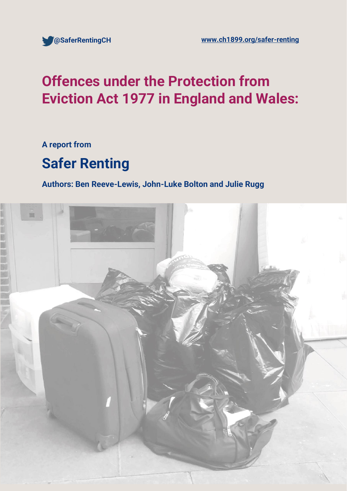

# **Offences under the Protection from Eviction Act 1977 in England and Wales:**

**A report from**

# **Safer Renting**

**Authors: Ben Reeve-Lewis, John-Luke Bolton and Julie Rugg**

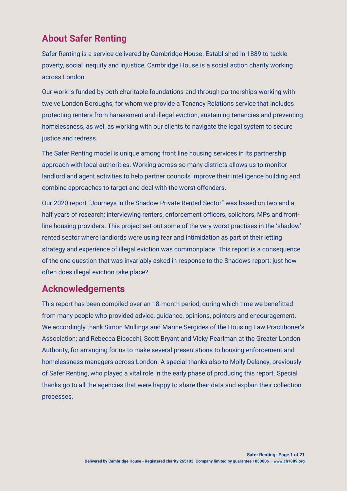# **About Safer Renting**

Safer Renting is a service delivered by Cambridge House. Established in 1889 to tackle poverty, social inequity and injustice, Cambridge House is a social action charity working across London.

Our work is funded by both charitable foundations and through partnerships working with twelve London Boroughs, for whom we provide a Tenancy Relations service that includes protecting renters from harassment and illegal eviction, sustaining tenancies and preventing homelessness, as well as working with our clients to navigate the legal system to secure justice and redress.

The Safer Renting model is unique among front line housing services in its partnership approach with local authorities. Working across so many districts allows us to monitor landlord and agent activities to help partner councils improve their intelligence building and combine approaches to target and deal with the worst offenders.

Our 2020 report "Journeys in the Shadow Private Rented Sector" was based on two and a half years of research; interviewing renters, enforcement officers, solicitors, MPs and frontline housing providers. This project set out some of the very worst practises in the 'shadow' rented sector where landlords were using fear and intimidation as part of their letting strategy and experience of illegal eviction was commonplace. This report is a consequence of the one question that was invariably asked in response to the Shadows report: just how often does illegal eviction take place?

## **Acknowledgements**

This report has been compiled over an 18-month period, during which time we benefitted from many people who provided advice, guidance, opinions, pointers and encouragement. We accordingly thank Simon Mullings and Marine Sergides of the Housing Law Practitioner's Association; and Rebecca Bicocchi, Scott Bryant and Vicky Pearlman at the Greater London Authority, for arranging for us to make several presentations to housing enforcement and homelessness managers across London. A special thanks also to Molly Delaney, previously of Safer Renting, who played a vital role in the early phase of producing this report. Special thanks go to all the agencies that were happy to share their data and explain their collection processes.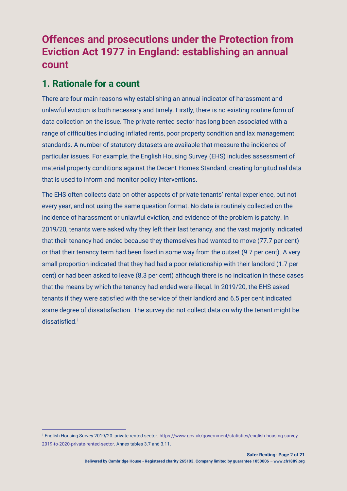# **Offences and prosecutions under the Protection from Eviction Act 1977 in England: establishing an annual count**

## **1. Rationale for a count**

There are four main reasons why establishing an annual indicator of harassment and unlawful eviction is both necessary and timely. Firstly, there is no existing routine form of data collection on the issue. The private rented sector has long been associated with a range of difficulties including inflated rents, poor property condition and lax management standards. A number of statutory datasets are available that measure the incidence of particular issues. For example, the English Housing Survey (EHS) includes assessment of material property conditions against the Decent Homes Standard, creating longitudinal data that is used to inform and monitor policy interventions.

The EHS often collects data on other aspects of private tenants' rental experience, but not every year, and not using the same question format. No data is routinely collected on the incidence of harassment or unlawful eviction, and evidence of the problem is patchy. In 2019/20, tenants were asked why they left their last tenancy, and the vast majority indicated that their tenancy had ended because they themselves had wanted to move (77.7 per cent) or that their tenancy term had been fixed in some way from the outset (9.7 per cent). A very small proportion indicated that they had had a poor relationship with their landlord (1.7 per cent) or had been asked to leave (8.3 per cent) although there is no indication in these cases that the means by which the tenancy had ended were illegal. In 2019/20, the EHS asked tenants if they were satisfied with the service of their landlord and 6.5 per cent indicated some degree of dissatisfaction. The survey did not collect data on why the tenant might be dissatisfied.<sup>1</sup>

<sup>1</sup> English Housing Survey 2019/20: private rented sector. https://www.gov.uk/government/statistics/english-housing-survey-2019-to-2020-private-rented-sector. Annex tables 3.7 and 3.11.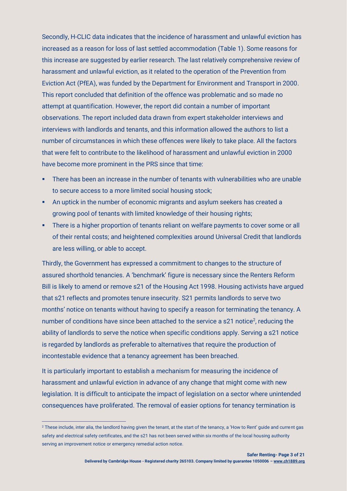Secondly, H-CLIC data indicates that the incidence of harassment and unlawful eviction has increased as a reason for loss of last settled accommodation (Table 1). Some reasons for this increase are suggested by earlier research. The last relatively comprehensive review of harassment and unlawful eviction, as it related to the operation of the Prevention from Eviction Act (PfEA), was funded by the Department for Environment and Transport in 2000. This report concluded that definition of the offence was problematic and so made no attempt at quantification. However, the report did contain a number of important observations. The report included data drawn from expert stakeholder interviews and interviews with landlords and tenants, and this information allowed the authors to list a number of circumstances in which these offences were likely to take place. All the factors that were felt to contribute to the likelihood of harassment and unlawful eviction in 2000 have become more prominent in the PRS since that time:

- **•** There has been an increase in the number of tenants with vulnerabilities who are unable to secure access to a more limited social housing stock;
- An uptick in the number of economic migrants and asylum seekers has created a growing pool of tenants with limited knowledge of their housing rights;
- **•** There is a higher proportion of tenants reliant on welfare payments to cover some or all of their rental costs; and heightened complexities around Universal Credit that landlords are less willing, or able to accept.

Thirdly, the Government has expressed a commitment to changes to the structure of assured shorthold tenancies. A 'benchmark' figure is necessary since the Renters Reform Bill is likely to amend or remove s21 of the Housing Act 1998. Housing activists have argued that s21 reflects and promotes tenure insecurity. S21 permits landlords to serve two months' notice on tenants without having to specify a reason for terminating the tenancy. A number of conditions have since been attached to the service a s21 notice<sup>2</sup>, reducing the ability of landlords to serve the notice when specific conditions apply. Serving a s21 notice is regarded by landlords as preferable to alternatives that require the production of incontestable evidence that a tenancy agreement has been breached.

It is particularly important to establish a mechanism for measuring the incidence of harassment and unlawful eviction in advance of any change that might come with new legislation. It is difficult to anticipate the impact of legislation on a sector where unintended consequences have proliferated. The removal of easier options for tenancy termination is

<sup>2</sup> These include, inter alia, the landlord having given the tenant, at the start of the tenancy, a 'How to Rent' guide and current gas safety and electrical safety certificates, and the s21 has not been served within six months of the local housing authority serving an improvement notice or emergency remedial action notice.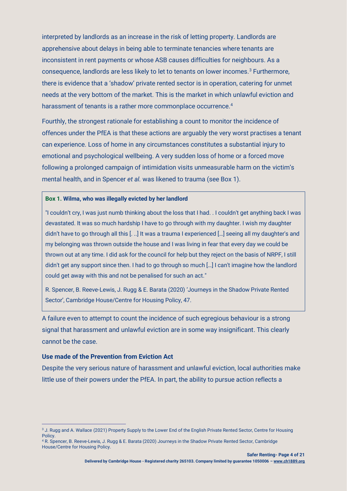interpreted by landlords as an increase in the risk of letting property. Landlords are apprehensive about delays in being able to terminate tenancies where tenants are inconsistent in rent payments or whose ASB causes difficulties for neighbours. As a consequence, landlords are less likely to let to tenants on lower incomes.<sup>3</sup> Furthermore, there is evidence that a 'shadow' private rented sector is in operation, catering for unmet needs at the very bottom of the market. This is the market in which unlawful eviction and harassment of tenants is a rather more commonplace occurrence.<sup>4</sup>

Fourthly, the strongest rationale for establishing a count to monitor the incidence of offences under the PfEA is that these actions are arguably the very worst practises a tenant can experience. Loss of home in any circumstances constitutes a substantial injury to emotional and psychological wellbeing. A very sudden loss of home or a forced move following a prolonged campaign of intimidation visits unmeasurable harm on the victim's mental health, and in Spencer *et al.* was likened to trauma (see Box 1).

#### **Box 1. Wilma, who was illegally evicted by her landlord**

"I couldn't cry, I was just numb thinking about the loss that I had. . I couldn't get anything back I was devastated. It was so much hardship I have to go through with my daughter. I wish my daughter didn't have to go through all this [. ..] It was a trauma I experienced […] seeing all my daughter's and my belonging was thrown outside the house and I was living in fear that every day we could be thrown out at any time. I did ask for the council for help but they reject on the basis of NRPF, I still didn't get any support since then. I had to go through so much […] I can't imagine how the landlord could get away with this and not be penalised for such an act."

R. Spencer, B. Reeve-Lewis, J. Rugg & E. Barata (2020) 'Journeys in the Shadow Private Rented Sector', Cambridge House/Centre for Housing Policy, 47.

A failure even to attempt to count the incidence of such egregious behaviour is a strong signal that harassment and unlawful eviction are in some way insignificant. This clearly cannot be the case.

#### **Use made of the Prevention from Eviction Act**

Despite the very serious nature of harassment and unlawful eviction, local authorities make little use of their powers under the PfEA. In part, the ability to pursue action reflects a

<sup>&</sup>lt;sup>3</sup> J. Rugg and A. Wallace (2021) Property Supply to the Lower End of the English Private Rented Sector, Centre for Housing Policy.

<sup>4</sup> R. Spencer, B. Reeve-Lewis, J. Rugg & E. Barata (2020) Journeys in the Shadow Private Rented Sector, Cambridge House/Centre for Housing Policy.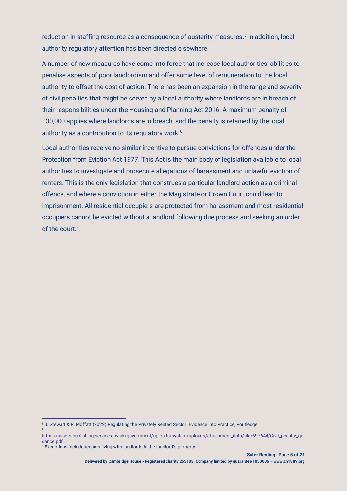reduction in staffing resource as a consequence of austerity measures. 5 In addition, local authority regulatory attention has been directed elsewhere.

A number of new measures have come into force that increase local authorities' abilities to penalise aspects of poor landlordism and offer some level of remuneration to the local authority to offset the cost of action. There has been an expansion in the range and severity of civil penalties that might be served by a local authority where landlords are in breach of their responsibilities under the Housing and Planning Act 2016. A maximum penalty of £30,000 applies where landlords are in breach, and the penalty is retained by the local authority as a contribution to its regulatory work.<sup>6</sup>

Local authorities receive no similar incentive to pursue convictions for offences under the Protection from Eviction Act 1977. This Act is the main body of legislation available to local authorities to investigate and prosecute allegations of harassment and unlawful eviction of renters. This is the only legislation that construes a particular landlord action as a criminal offence, and where a conviction in either the Magistrate or Crown Court could lead to imprisonment. All residential occupiers are protected from harassment and most residential occupiers cannot be evicted without a landlord following due process and seeking an order of the court.<sup>7</sup>

6

<sup>5</sup> J. Stewart & R. Moffatt (2022) Regulating the Privately Rented Sector: Evidence into Practice, Routledge.

https://assets.publishing.service.gov.uk/government/uploads/system/uploads/attachment\_data/file/697644/Civil\_penalty\_gui dance.pdf

<sup>7</sup> Exceptions include tenants living with landlords in the landlord's property.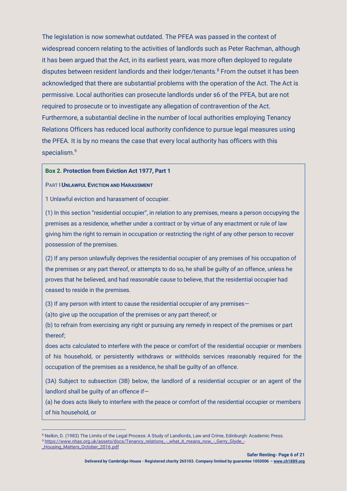The legislation is now somewhat outdated. The PFEA was passed in the context of widespread concern relating to the activities of landlords such as Peter Rachman, although it has been argued that the Act, in its earliest years, was more often deployed to regulate disputes between resident landlords and their lodger/tenants.<sup>8</sup> From the outset it has been acknowledged that there are substantial problems with the operation of the Act. The Act is permissive. Local authorities can prosecute landlords under s6 of the PFEA, but are not required to prosecute or to investigate any allegation of contravention of the Act. Furthermore, a substantial decline in the number of local authorities employing Tenancy Relations Officers has reduced local authority confidence to pursue legal measures using the PFEA. It is by no means the case that every local authority has officers with this specialism.<sup>9</sup>

#### **Box 2. Protection from Eviction Act 1977, Part 1**

#### PART I **UNLAWFUL EVICTION AND HARASSMENT**

1 Unlawful eviction and harassment of occupier.

(1) In this section "residential occupier", in relation to any premises, means a person occupying the premises as a residence, whether under a contract or by virtue of any enactment or rule of law giving him the right to remain in occupation or restricting the right of any other person to recover possession of the premises.

(2) If any person unlawfully deprives the residential occupier of any premises of his occupation of the premises or any part thereof, or attempts to do so, he shall be guilty of an offence, unless he proves that he believed, and had reasonable cause to believe, that the residential occupier had ceased to reside in the premises.

(3) If any person with intent to cause the residential occupier of any premises—

(a)to give up the occupation of the premises or any part thereof; or

(b) to refrain from exercising any right or pursuing any remedy in respect of the premises or part thereof;

does acts calculated to interfere with the peace or comfort of the residential occupier or members of his household, or persistently withdraws or withholds services reasonably required for the occupation of the premises as a residence, he shall be guilty of an offence.

(3A) Subject to subsection (3B) below, the landlord of a residential occupier or an agent of the landlord shall be guilty of an offence if—

(a) he does acts likely to interfere with the peace or comfort of the residential occupier or members of his household, or

<sup>8</sup> Nelkin, D. (1983) The Limits of the Legal Process: A Study of Landlords, Law and Crime, Edinburgh: Academic Press. 9 [https://www.nhas.org.uk/assets/docs/Tenancy\\_relations\\_-\\_what\\_it\\_means\\_now\\_-\\_Gerry\\_Glyde\\_-](https://www.nhas.org.uk/assets/docs/Tenancy_relations_-_what_it_means_now_-_Gerry_Glyde_-_Housing_Matters_October_2016.pdf)

[\\_Housing\\_Matters\\_October\\_2016.pdf](https://www.nhas.org.uk/assets/docs/Tenancy_relations_-_what_it_means_now_-_Gerry_Glyde_-_Housing_Matters_October_2016.pdf)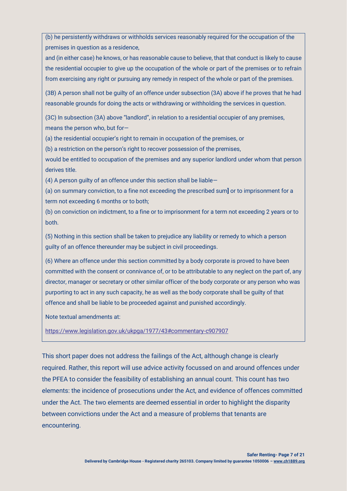(b) he persistently withdraws or withholds services reasonably required for the occupation of the premises in question as a residence,

and (in either case) he knows, or has reasonable cause to believe, that that conduct is likely to cause the residential occupier to give up the occupation of the whole or part of the premises or to refrain from exercising any right or pursuing any remedy in respect of the whole or part of the premises.

(3B) A person shall not be guilty of an offence under subsection (3A) above if he proves that he had reasonable grounds for doing the acts or withdrawing or withholding the services in question.

(3C) In subsection (3A) above "landlord", in relation to a residential occupier of any premises, means the person who, but for—

(a) the residential occupier's right to remain in occupation of the premises, or

(b) a restriction on the person's right to recover possession of the premises,

would be entitled to occupation of the premises and any superior landlord under whom that person derives title.

(4) A person guilty of an offence under this section shall be liable—

(a) on summary conviction, to a fine not exceeding the prescribed sum**]** or to imprisonment for a term not exceeding 6 months or to both;

(b) on conviction on indictment, to a fine or to imprisonment for a term not exceeding 2 years or to both.

(5) Nothing in this section shall be taken to prejudice any liability or remedy to which a person guilty of an offence thereunder may be subject in civil proceedings.

(6) Where an offence under this section committed by a body corporate is proved to have been committed with the consent or connivance of, or to be attributable to any neglect on the part of, any director, manager or secretary or other similar officer of the body corporate or any person who was purporting to act in any such capacity, he as well as the body corporate shall be guilty of that offence and shall be liable to be proceeded against and punished accordingly.

Note textual amendments at:

<https://www.legislation.gov.uk/ukpga/1977/43#commentary-c907907>

This short paper does not address the failings of the Act, although change is clearly required. Rather, this report will use advice activity focussed on and around offences under the PFEA to consider the feasibility of establishing an annual count. This count has two elements: the incidence of prosecutions under the Act, and evidence of offences committed under the Act. The two elements are deemed essential in order to highlight the disparity between convictions under the Act and a measure of problems that tenants are encountering.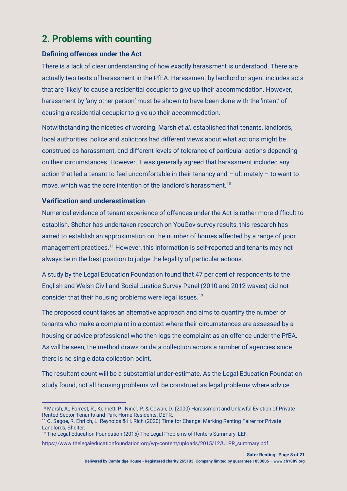# **2. Problems with counting**

### **Defining offences under the Act**

There is a lack of clear understanding of how exactly harassment is understood. There are actually two tests of harassment in the PfEA. Harassment by landlord or agent includes acts that are 'likely' to cause a residential occupier to give up their accommodation. However, harassment by 'any other person' must be shown to have been done with the 'intent' of causing a residential occupier to give up their accommodation.

Notwithstanding the niceties of wording, Marsh *et al*. established that tenants, landlords, local authorities, police and solicitors had different views about what actions might be construed as harassment, and different levels of tolerance of particular actions depending on their circumstances. However, it was generally agreed that harassment included any action that led a tenant to feel uncomfortable in their tenancy and – ultimately – to want to move, which was the core intention of the landlord's harassment.<sup>10</sup>

### **Verification and underestimation**

Numerical evidence of tenant experience of offences under the Act is rather more difficult to establish. Shelter has undertaken research on YouGov survey results, this research has aimed to establish an approximation on the number of homes affected by a range of poor management practices.<sup>11</sup> However, this information is self-reported and tenants may not always be in the best position to judge the legality of particular actions.

A study by the Legal Education Foundation found that 47 per cent of respondents to the English and Welsh Civil and Social Justice Survey Panel (2010 and 2012 waves) did not consider that their housing problems were legal issues.<sup>12</sup>

The proposed count takes an alternative approach and aims to quantify the number of tenants who make a complaint in a context where their circumstances are assessed by a housing or advice professional who then logs the complaint as an offence under the PfEA. As will be seen, the method draws on data collection across a number of agencies since there is no single data collection point.

The resultant count will be a substantial under-estimate. As the Legal Education Foundation study found, not all housing problems will be construed as legal problems where advice

<sup>10</sup> Marsh, A., Forrest, R., Kennett, P., Niner, P. & Cowan, D. (2000) Harassment and Unlawful Eviction of Private Rented Sector Tenants and Park Home Residents, DETR.

<sup>11</sup> C. Sagoe, R. Ehrlich, L. Reynolds & H. Rich (2020) Time for Change: Marking Renting Fairer for Private Landlords, Shelter.

<sup>12</sup> The Legal Education Foundation (2015) The Legal Problems of Renters Summary, LEF,

https://www.thelegaleducationfoundation.org/wp-content/uploads/2015/12/ULPR\_summary.pdf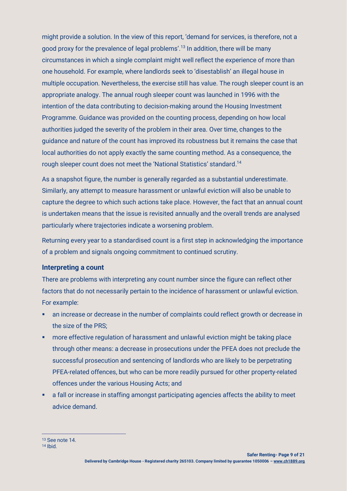might provide a solution. In the view of this report, 'demand for services, is therefore, not a good proxy for the prevalence of legal problems'. <sup>13</sup> In addition, there will be many circumstances in which a single complaint might well reflect the experience of more than one household. For example, where landlords seek to 'disestablish' an illegal house in multiple occupation. Nevertheless, the exercise still has value. The rough sleeper count is an appropriate analogy. The annual rough sleeper count was launched in 1996 with the intention of the data contributing to decision-making around the Housing Investment Programme. Guidance was provided on the counting process, depending on how local authorities judged the severity of the problem in their area. Over time, changes to the guidance and nature of the count has improved its robustness but it remains the case that local authorities do not apply exactly the same counting method. As a consequence, the rough sleeper count does not meet the 'National Statistics' standard.<sup>14</sup>

As a snapshot figure, the number is generally regarded as a substantial underestimate. Similarly, any attempt to measure harassment or unlawful eviction will also be unable to capture the degree to which such actions take place. However, the fact that an annual count is undertaken means that the issue is revisited annually and the overall trends are analysed particularly where trajectories indicate a worsening problem.

Returning every year to a standardised count is a first step in acknowledging the importance of a problem and signals ongoing commitment to continued scrutiny.

### **Interpreting a count**

There are problems with interpreting any count number since the figure can reflect other factors that do not necessarily pertain to the incidence of harassment or unlawful eviction. For example:

- an increase or decrease in the number of complaints could reflect growth or decrease in the size of the PRS;
- **more effective regulation of harassment and unlawful eviction might be taking place** through other means: a decrease in prosecutions under the PFEA does not preclude the successful prosecution and sentencing of landlords who are likely to be perpetrating PFEA-related offences, but who can be more readily pursued for other property-related offences under the various Housing Acts; and
- a fall or increase in staffing amongst participating agencies affects the ability to meet advice demand.

<sup>13</sup> See note 14.

<sup>14</sup> Ibid.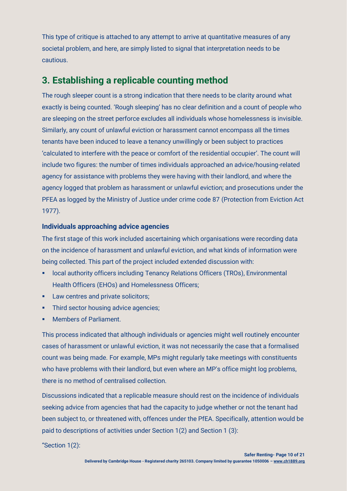This type of critique is attached to any attempt to arrive at quantitative measures of any societal problem, and here, are simply listed to signal that interpretation needs to be cautious.

# **3. Establishing a replicable counting method**

The rough sleeper count is a strong indication that there needs to be clarity around what exactly is being counted. 'Rough sleeping' has no clear definition and a count of people who are sleeping on the street perforce excludes all individuals whose homelessness is invisible. Similarly, any count of unlawful eviction or harassment cannot encompass all the times tenants have been induced to leave a tenancy unwillingly or been subject to practices 'calculated to interfere with the peace or comfort of the residential occupier'. The count will include two figures: the number of times individuals approached an advice/housing-related agency for assistance with problems they were having with their landlord, and where the agency logged that problem as harassment or unlawful eviction; and prosecutions under the PFEA as logged by the Ministry of Justice under crime code 87 (Protection from Eviction Act 1977).

### **Individuals approaching advice agencies**

The first stage of this work included ascertaining which organisations were recording data on the incidence of harassment and unlawful eviction, and what kinds of information were being collected. This part of the project included extended discussion with:

- **Iocal authority officers including Tenancy Relations Officers (TROs), Environmental** Health Officers (EHOs) and Homelessness Officers;
- **EXECUTE:** Law centres and private solicitors;
- **•** Third sector housing advice agencies;
- Members of Parliament.

This process indicated that although individuals or agencies might well routinely encounter cases of harassment or unlawful eviction, it was not necessarily the case that a formalised count was being made. For example, MPs might regularly take meetings with constituents who have problems with their landlord, but even where an MP's office might log problems, there is no method of centralised collection.

Discussions indicated that a replicable measure should rest on the incidence of individuals seeking advice from agencies that had the capacity to judge whether or not the tenant had been subject to, or threatened with, offences under the PfEA. Specifically, attention would be paid to descriptions of activities under Section 1(2) and Section 1 (3):

"Section 1(2):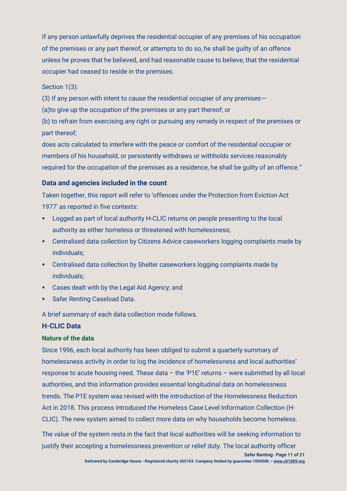If any person unlawfully deprives the residential occupier of any premises of his occupation of the premises or any part thereof, or attempts to do so, he shall be guilty of an offence unless he proves that he believed, and had reasonable cause to believe, that the residential occupier had ceased to reside in the premises.

Section 1(3):

(3) If any person with intent to cause the residential occupier of any premises—

(a)to give up the occupation of the premises or any part thereof; or

(b) to refrain from exercising any right or pursuing any remedy in respect of the premises or part thereof;

does acts calculated to interfere with the peace or comfort of the residential occupier or members of his household, or persistently withdraws or withholds services reasonably required for the occupation of the premises as a residence, he shall be guilty of an offence."

### **Data and agencies included in the count**

Taken together, this report will refer to 'offences under the Protection from Eviction Act 1977' as reported in five contexts:

- Logged as part of local authority H-CLIC returns on people presenting to the local authority as either homeless or threatened with homelessness;
- Centralised data collection by Citizens Advice caseworkers logging complaints made by individuals;
- Centralised data collection by Shelter caseworkers logging complaints made by individuals;
- Cases dealt with by the Legal Aid Agency; and
- **Safer Renting Caseload Data.**

A brief summary of each data collection mode follows.

### **H-CLIC Data**

### **Nature of the data**

Since 1996, each local authority has been obliged to submit a quarterly summary of homelessness activity in order to log the incidence of homelessness and local authorities' response to acute housing need. These data – the 'P1E' returns – were submitted by all local authorities, and this information provides essential longitudinal data on homelessness trends. The P1E system was revised with the introduction of the Homelessness Reduction Act in 2018. This process introduced the Homeless Case Level Information Collection (H-CLIC). The new system aimed to collect more data on why households become homeless.

The value of the system rests in the fact that local authorities will be seeking information to justify their accepting a homelessness prevention or relief duty. The local authority officer

**Safer Renting- Page 11 of 21**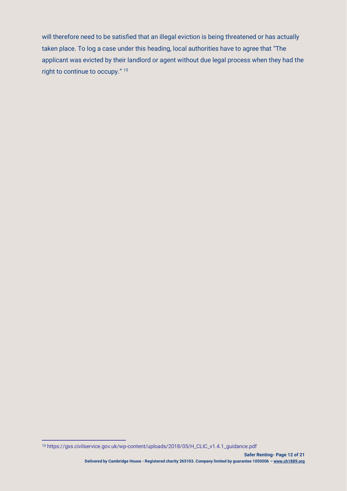will therefore need to be satisfied that an illegal eviction is being threatened or has actually taken place. To log a case under this heading, local authorities have to agree that "The applicant was evicted by their landlord or agent without due legal process when they had the right to continue to occupy." *15*

<sup>15</sup> https://gss.civilservice.gov.uk/wp-content/uploads/2018/05/H\_CLIC\_v1.4.1\_guidance.pdf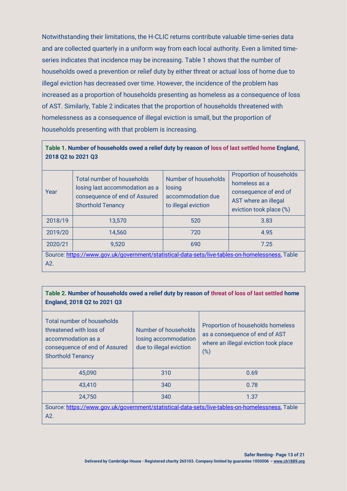Notwithstanding their limitations, the H-CLIC returns contribute valuable time-series data and are collected quarterly in a uniform way from each local authority. Even a limited timeseries indicates that incidence may be increasing. Table 1 shows that the number of households owed a prevention or relief duty by either threat or actual loss of home due to illegal eviction has decreased over time. However, the incidence of the problem has increased as a proportion of households presenting as homeless as a consequence of loss of AST. Similarly, Table 2 indicates that the proportion of households threatened with homelessness as a consequence of illegal eviction is small, but the proportion of households presenting with that problem is increasing.

#### **Table 1. Number of households owed a relief duty by reason of loss of last settled home England, 2018 Q2 to 2021 Q3**

| Year                                                                                                  | <b>Total number of households</b><br>losing last accommodation as a<br>consequence of end of Assured<br><b>Shorthold Tenancy</b> | Number of households<br>losing<br>accommodation due<br>to illegal eviction | Proportion of households<br>homeless as a<br>consequence of end of<br>AST where an illegal<br>eviction took place (%) |  |  |
|-------------------------------------------------------------------------------------------------------|----------------------------------------------------------------------------------------------------------------------------------|----------------------------------------------------------------------------|-----------------------------------------------------------------------------------------------------------------------|--|--|
| 2018/19                                                                                               | 13,570                                                                                                                           | 520                                                                        | 3.83                                                                                                                  |  |  |
| 2019/20                                                                                               | 14,560                                                                                                                           | 720                                                                        | 4.95                                                                                                                  |  |  |
| 2020/21                                                                                               | 9,520                                                                                                                            | 690                                                                        | 7.25                                                                                                                  |  |  |
| Source: https://www.gov.uk/government/statistical-data-sets/live-tables-on-homelessness, Table<br>A2. |                                                                                                                                  |                                                                            |                                                                                                                       |  |  |

### **Table 2. Number of households owed a relief duty by reason of threat of loss of last settled home England, 2018 Q2 to 2021 Q3**

| Total number of households<br>threatened with loss of<br>accommodation as a<br>consequence of end of Assured<br><b>Shorthold Tenancy</b> | Number of households<br>losing accommodation<br>due to illegal eviction | Proportion of households homeless<br>as a consequence of end of AST<br>where an illegal eviction took place<br>$(\%)$ |  |  |  |
|------------------------------------------------------------------------------------------------------------------------------------------|-------------------------------------------------------------------------|-----------------------------------------------------------------------------------------------------------------------|--|--|--|
| 45,090                                                                                                                                   | 310                                                                     | 0.69                                                                                                                  |  |  |  |
| 43,410                                                                                                                                   | 340                                                                     | 0.78                                                                                                                  |  |  |  |
| 24,750                                                                                                                                   | 340                                                                     | 1.37                                                                                                                  |  |  |  |
| Source: https://www.gov.uk/government/statistical-data-sets/live-tables-on-homelessness, Table                                           |                                                                         |                                                                                                                       |  |  |  |
| A2.                                                                                                                                      |                                                                         |                                                                                                                       |  |  |  |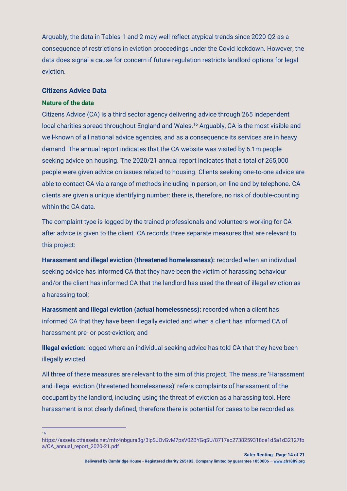Arguably, the data in Tables 1 and 2 may well reflect atypical trends since 2020 Q2 as a consequence of restrictions in eviction proceedings under the Covid lockdown. However, the data does signal a cause for concern if future regulation restricts landlord options for legal eviction.

#### **Citizens Advice Data**

#### **Nature of the data**

Citizens Advice (CA) is a third sector agency delivering advice through 265 independent local charities spread throughout England and Wales.<sup>16</sup> Arguably, CA is the most visible and well-known of all national advice agencies, and as a consequence its services are in heavy demand. The annual report indicates that the CA website was visited by 6.1m people seeking advice on housing. The 2020/21 annual report indicates that a total of 265,000 people were given advice on issues related to housing. Clients seeking one-to-one advice are able to contact CA via a range of methods including in person, on-line and by telephone. CA clients are given a unique identifying number: there is, therefore, no risk of double-counting within the CA data

The complaint type is logged by the trained professionals and volunteers working for CA after advice is given to the client. CA records three separate measures that are relevant to this project:

**Harassment and illegal eviction (threatened homelessness):** recorded when an individual seeking advice has informed CA that they have been the victim of harassing behaviour and/or the client has informed CA that the landlord has used the threat of illegal eviction as a harassing tool;

**Harassment and illegal eviction (actual homelessness):** recorded when a client has informed CA that they have been illegally evicted and when a client has informed CA of harassment pre- or post-eviction; and

**Illegal eviction:** logged where an individual seeking advice has told CA that they have been illegally evicted.

All three of these measures are relevant to the aim of this project. The measure 'Harassment and illegal eviction (threatened homelessness)' refers complaints of harassment of the occupant by the landlord, including using the threat of eviction as a harassing tool. Here harassment is not clearly defined, therefore there is potential for cases to be recorded as

16

https://assets.ctfassets.net/mfz4nbgura3g/3lpSJOvGvM7psV02BYGqSU/8717ac2738259318ce1d5a1d32127fb a/CA\_annual\_report\_2020-21.pdf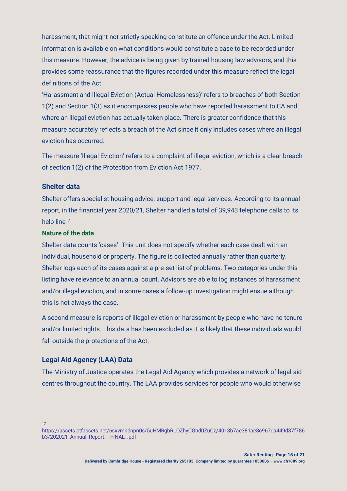harassment, that might not strictly speaking constitute an offence under the Act. Limited information is available on what conditions would constitute a case to be recorded under this measure. However, the advice is being given by trained housing law advisors, and this provides some reassurance that the figures recorded under this measure reflect the legal definitions of the Act.

'Harassment and Illegal Eviction (Actual Homelessness)' refers to breaches of both Section 1(2) and Section 1(3) as it encompasses people who have reported harassment to CA and where an illegal eviction has actually taken place. There is greater confidence that this measure accurately reflects a breach of the Act since it only includes cases where an illegal eviction has occurred.

The measure 'Illegal Eviction' refers to a complaint of illegal eviction, which is a clear breach of section 1(2) of the Protection from Eviction Act 1977.

#### **Shelter data**

Shelter offers specialist housing advice, support and legal services. According to its annual report, in the financial year 2020/21, Shelter handled a total of 39,943 telephone calls to its help line<sup>17</sup>.

#### **Nature of the data**

Shelter data counts 'cases'. This unit does not specify whether each case dealt with an individual, household or property. The figure is collected annually rather than quarterly. Shelter logs each of its cases against a pre-set list of problems. Two categories under this listing have relevance to an annual count. Advisors are able to log instances of harassment and/or illegal eviction, and in some cases a follow-up investigation might ensue although this is not always the case.

A second measure is reports of illegal eviction or harassment by people who have no tenure and/or limited rights. This data has been excluded as it is likely that these individuals would fall outside the protections of the Act.

#### **Legal Aid Agency (LAA) Data**

The Ministry of Justice operates the Legal Aid Agency which provides a network of legal aid centres throughout the country. The LAA provides services for people who would otherwise

17

https://assets.ctfassets.net/6sxvmndnpn0s/5uHMRgbRLOZhyCGhd0ZuCz/4013b7ae381ae8c967da449d37f786 b3/202021\_Annual\_Report\_-\_FINAL\_.pdf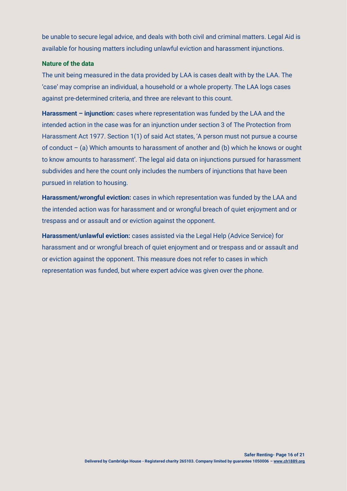be unable to secure legal advice, and deals with both civil and criminal matters. Legal Aid is available for housing matters including unlawful eviction and harassment injunctions.

#### **Nature of the data**

The unit being measured in the data provided by LAA is cases dealt with by the LAA. The 'case' may comprise an individual, a household or a whole property. The LAA logs cases against pre-determined criteria, and three are relevant to this count.

**Harassment – injunction:** cases where representation was funded by the LAA and the intended action in the case was for an injunction under section 3 of The Protection from Harassment Act 1977. Section 1(1) of said Act states, 'A person must not pursue a course of conduct – (a) Which amounts to harassment of another and (b) which he knows or ought to know amounts to harassment'. The legal aid data on injunctions pursued for harassment subdivides and here the count only includes the numbers of injunctions that have been pursued in relation to housing.

**Harassment/wrongful eviction:** cases in which representation was funded by the LAA and the intended action was for harassment and or wrongful breach of quiet enjoyment and or trespass and or assault and or eviction against the opponent.

**Harassment/unlawful eviction:** cases assisted via the Legal Help (Advice Service) for harassment and or wrongful breach of quiet enjoyment and or trespass and or assault and or eviction against the opponent. This measure does not refer to cases in which representation was funded, but where expert advice was given over the phone.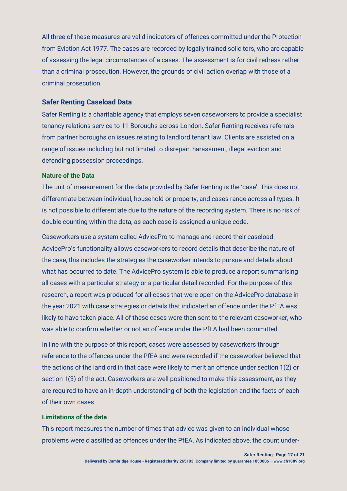All three of these measures are valid indicators of offences committed under the Protection from Eviction Act 1977. The cases are recorded by legally trained solicitors, who are capable of assessing the legal circumstances of a cases. The assessment is for civil redress rather than a criminal prosecution. However, the grounds of civil action overlap with those of a criminal prosecution.

#### **Safer Renting Caseload Data**

Safer Renting is a charitable agency that employs seven caseworkers to provide a specialist tenancy relations service to 11 Boroughs across London. Safer Renting receives referrals from partner boroughs on issues relating to landlord tenant law. Clients are assisted on a range of issues including but not limited to disrepair, harassment, illegal eviction and defending possession proceedings.

#### **Nature of the Data**

The unit of measurement for the data provided by Safer Renting is the 'case'. This does not differentiate between individual, household or property, and cases range across all types. It is not possible to differentiate due to the nature of the recording system. There is no risk of double counting within the data, as each case is assigned a unique code.

Caseworkers use a system called AdvicePro to manage and record their caseload. AdvicePro's functionality allows caseworkers to record details that describe the nature of the case, this includes the strategies the caseworker intends to pursue and details about what has occurred to date. The AdvicePro system is able to produce a report summarising all cases with a particular strategy or a particular detail recorded. For the purpose of this research, a report was produced for all cases that were open on the AdvicePro database in the year 2021 with case strategies or details that indicated an offence under the PfEA was likely to have taken place. All of these cases were then sent to the relevant caseworker, who was able to confirm whether or not an offence under the PfEA had been committed.

In line with the purpose of this report, cases were assessed by caseworkers through reference to the offences under the PfEA and were recorded if the caseworker believed that the actions of the landlord in that case were likely to merit an offence under section 1(2) or section 1(3) of the act. Caseworkers are well positioned to make this assessment, as they are required to have an in-depth understanding of both the legislation and the facts of each of their own cases.

#### **Limitations of the data**

This report measures the number of times that advice was given to an individual whose problems were classified as offences under the PfEA. As indicated above, the count under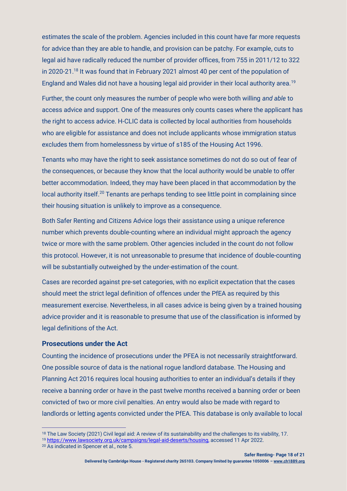estimates the scale of the problem. Agencies included in this count have far more requests for advice than they are able to handle, and provision can be patchy. For example, cuts to legal aid have radically reduced the number of provider offices, from 755 in 2011/12 to 322 in 2020-21.<sup>18</sup> It was found that in February 2021 almost 40 per cent of the population of England and Wales did not have a housing legal aid provider in their local authority area.<sup>19</sup>

Further, the count only measures the number of people who were both willing *and able* to access advice and support. One of the measures only counts cases where the applicant has the right to access advice. H-CLIC data is collected by local authorities from households who are eligible for assistance and does not include applicants whose immigration status excludes them from homelessness by virtue of s185 of the Housing Act 1996.

Tenants who may have the right to seek assistance sometimes do not do so out of fear of the consequences, or because they know that the local authority would be unable to offer better accommodation. Indeed, they may have been placed in that accommodation by the local authority itself.<sup>20</sup> Tenants are perhaps tending to see little point in complaining since their housing situation is unlikely to improve as a consequence.

Both Safer Renting and Citizens Advice logs their assistance using a unique reference number which prevents double-counting where an individual might approach the agency twice or more with the same problem. Other agencies included in the count do not follow this protocol. However, it is not unreasonable to presume that incidence of double-counting will be substantially outweighed by the under-estimation of the count.

Cases are recorded against pre-set categories, with no explicit expectation that the cases should meet the strict legal definition of offences under the PfEA as required by this measurement exercise. Nevertheless, in all cases advice is being given by a trained housing advice provider and it is reasonable to presume that use of the classification is informed by legal definitions of the Act.

#### **Prosecutions under the Act**

Counting the incidence of prosecutions under the PFEA is not necessarily straightforward. One possible source of data is the national rogue landlord database. The Housing and Planning Act 2016 requires local housing authorities to enter an individual's details if they receive a banning order or have in the past twelve months received a banning order or been convicted of two or more civil penalties. An entry would also be made with regard to landlords or letting agents convicted under the PfEA. This database is only available to local

<sup>19</sup> [https://www.lawsociety.org.uk/campaigns/legal-aid-deserts/housing,](https://www.lawsociety.org.uk/campaigns/legal-aid-deserts/housing) accessed 11 Apr 2022.

<sup>&</sup>lt;sup>18</sup> The Law Society (2021) Civil legal aid: A review of its sustainability and the challenges to its viability, 17.

<sup>20</sup> As indicated in Spencer et al., note 5.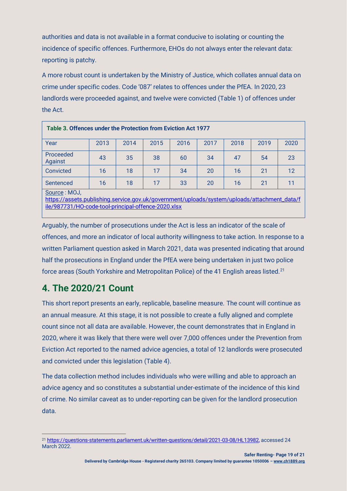authorities and data is not available in a format conducive to isolating or counting the incidence of specific offences. Furthermore, EHOs do not always enter the relevant data: reporting is patchy.

A more robust count is undertaken by the Ministry of Justice, which collates annual data on crime under specific codes. Code '087' relates to offences under the PfEA. In 2020, 23 landlords were proceeded against, and twelve were convicted (Table 1) of offences under the Act.

| Table 3. Offences under the Protection from Eviction Act 1977                                                                                                       |      |      |      |      |      |      |      |      |
|---------------------------------------------------------------------------------------------------------------------------------------------------------------------|------|------|------|------|------|------|------|------|
| Year                                                                                                                                                                | 2013 | 2014 | 2015 | 2016 | 2017 | 2018 | 2019 | 2020 |
| Proceeded<br>Against                                                                                                                                                | 43   | 35   | 38   | 60   | 34   | 47   | 54   | 23   |
| Convicted                                                                                                                                                           | 16   | 18   | 17   | 34   | 20   | 16   | 21   | 12   |
| Sentenced                                                                                                                                                           | 16   | 18   | 17   | 33   | 20   | 16   | 21   | 11   |
| Source: MOJ,<br>https://assets.publishing.service.gov.uk/government/uploads/system/uploads/attachment_data/f<br>ile/987731/HO-code-tool-principal-offence-2020.xlsx |      |      |      |      |      |      |      |      |

Arguably, the number of prosecutions under the Act is less an indicator of the scale of offences, and more an indicator of local authority willingness to take action. In response to a written Parliament question asked in March 2021, data was presented indicating that around half the prosecutions in England under the PfEA were being undertaken in just two police force areas (South Yorkshire and Metropolitan Police) of the 41 English areas listed.<sup>21</sup>

# **4. The 2020/21 Count**

This short report presents an early, replicable, baseline measure. The count will continue as an annual measure. At this stage, it is not possible to create a fully aligned and complete count since not all data are available. However, the count demonstrates that in England in 2020, where it was likely that there were well over 7,000 offences under the Prevention from Eviction Act reported to the named advice agencies, a total of 12 landlords were prosecuted and convicted under this legislation (Table 4).

The data collection method includes individuals who were willing and able to approach an advice agency and so constitutes a substantial under-estimate of the incidence of this kind of crime. No similar caveat as to under-reporting can be given for the landlord prosecution data.

<sup>21</sup> [https://questions-statements.parliament.uk/written-questions/detail/2021-03-08/HL13982,](https://questions-statements.parliament.uk/written-questions/detail/2021-03-08/HL13982) accessed 24 March 2022.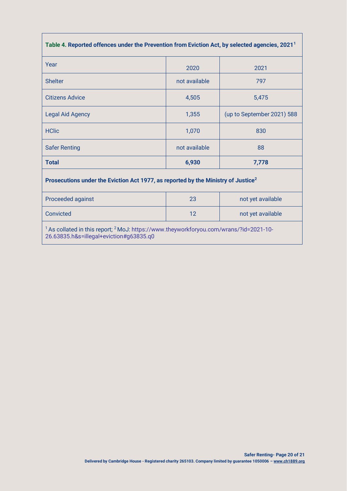| Table 4. Reported offences under the Prevention from Eviction Act, by selected agencies, 2021 <sup>1</sup>                                              |               |                            |  |  |  |  |
|---------------------------------------------------------------------------------------------------------------------------------------------------------|---------------|----------------------------|--|--|--|--|
| Year                                                                                                                                                    | 2020          | 2021                       |  |  |  |  |
| <b>Shelter</b>                                                                                                                                          | not available | 797                        |  |  |  |  |
| <b>Citizens Advice</b>                                                                                                                                  | 4,505         | 5,475                      |  |  |  |  |
| <b>Legal Aid Agency</b>                                                                                                                                 | 1,355         | (up to September 2021) 588 |  |  |  |  |
| <b>HClic</b>                                                                                                                                            | 1,070         | 830                        |  |  |  |  |
| <b>Safer Renting</b>                                                                                                                                    | not available | 88                         |  |  |  |  |
| <b>Total</b>                                                                                                                                            | 6,930         | 7,778                      |  |  |  |  |
| Prosecutions under the Eviction Act 1977, as reported by the Ministry of Justice <sup>2</sup>                                                           |               |                            |  |  |  |  |
| Proceeded against                                                                                                                                       | 23            | not yet available          |  |  |  |  |
| Convicted                                                                                                                                               | 12            | not yet available          |  |  |  |  |
| <sup>1</sup> As collated in this report; <sup>2</sup> MoJ: https://www.theyworkforyou.com/wrans/?id=2021-10-<br>26.63835.h&s=illegal+eviction#g63835.q0 |               |                            |  |  |  |  |